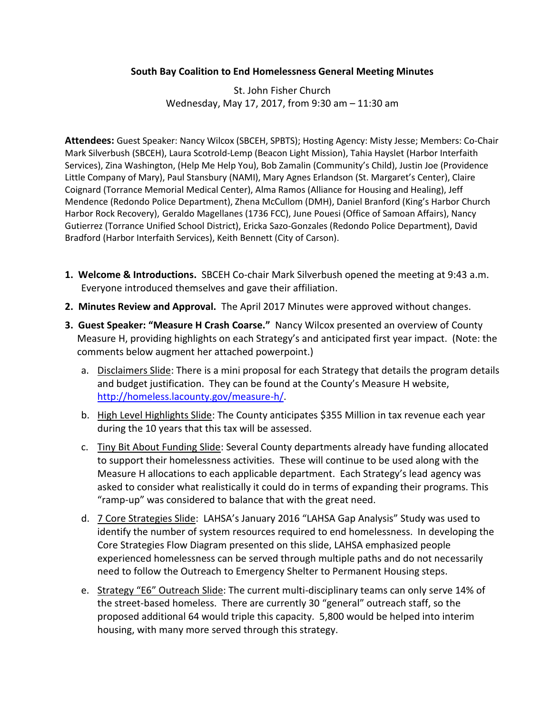## **South Bay Coalition to End Homelessness General Meeting Minutes**

St. John Fisher Church Wednesday, May 17, 2017, from 9:30 am – 11:30 am

**Attendees:** Guest Speaker: Nancy Wilcox (SBCEH, SPBTS); Hosting Agency: Misty Jesse; Members: Co-Chair Mark Silverbush (SBCEH), Laura Scotrold-Lemp (Beacon Light Mission), Tahia Hayslet (Harbor Interfaith Services), Zina Washington, (Help Me Help You), Bob Zamalin (Community's Child), Justin Joe (Providence Little Company of Mary), Paul Stansbury (NAMI), Mary Agnes Erlandson (St. Margaret's Center), Claire Coignard (Torrance Memorial Medical Center), Alma Ramos (Alliance for Housing and Healing), Jeff Mendence (Redondo Police Department), Zhena McCullom (DMH), Daniel Branford (King's Harbor Church Harbor Rock Recovery), Geraldo Magellanes (1736 FCC), June Pouesi (Office of Samoan Affairs), Nancy Gutierrez (Torrance Unified School District), Ericka Sazo-Gonzales (Redondo Police Department), David Bradford (Harbor Interfaith Services), Keith Bennett (City of Carson).

- **1. Welcome & Introductions.** SBCEH Co-chair Mark Silverbush opened the meeting at 9:43 a.m. Everyone introduced themselves and gave their affiliation.
- **2. Minutes Review and Approval.** The April 2017 Minutes were approved without changes.
- **3. Guest Speaker: "Measure H Crash Coarse."** Nancy Wilcox presented an overview of County Measure H, providing highlights on each Strategy's and anticipated first year impact. (Note: the comments below augment her attached powerpoint.)
	- a. Disclaimers Slide: There is a mini proposal for each Strategy that details the program details and budget justification. They can be found at the County's Measure H website, [http://homeless.lacounty.gov/measure-h/.](http://homeless.lacounty.gov/measure-h/)
	- b. High Level Highlights Slide: The County anticipates \$355 Million in tax revenue each year during the 10 years that this tax will be assessed.
	- c. Tiny Bit About Funding Slide: Several County departments already have funding allocated to support their homelessness activities. These will continue to be used along with the Measure H allocations to each applicable department. Each Strategy's lead agency was asked to consider what realistically it could do in terms of expanding their programs. This "ramp-up" was considered to balance that with the great need.
	- d. 7 Core Strategies Slide: LAHSA's January 2016 "LAHSA Gap Analysis" Study was used to identify the number of system resources required to end homelessness. In developing the Core Strategies Flow Diagram presented on this slide, LAHSA emphasized people experienced homelessness can be served through multiple paths and do not necessarily need to follow the Outreach to Emergency Shelter to Permanent Housing steps.
	- e. Strategy "E6" Outreach Slide: The current multi-disciplinary teams can only serve 14% of the street-based homeless. There are currently 30 "general" outreach staff, so the proposed additional 64 would triple this capacity. 5,800 would be helped into interim housing, with many more served through this strategy.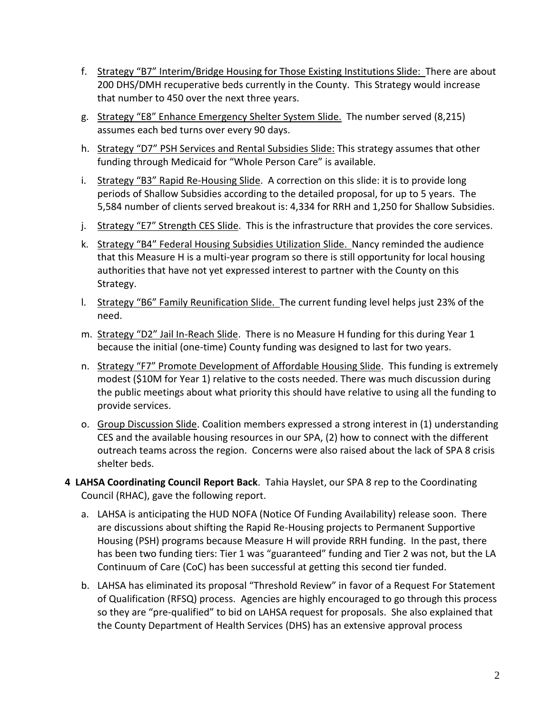- f. Strategy "B7" Interim/Bridge Housing for Those Existing Institutions Slide: There are about 200 DHS/DMH recuperative beds currently in the County. This Strategy would increase that number to 450 over the next three years.
- g. Strategy "E8" Enhance Emergency Shelter System Slide. The number served (8,215) assumes each bed turns over every 90 days.
- h. Strategy "D7" PSH Services and Rental Subsidies Slide: This strategy assumes that other funding through Medicaid for "Whole Person Care" is available.
- i. Strategy "B3" Rapid Re-Housing Slide. A correction on this slide: it is to provide long periods of Shallow Subsidies according to the detailed proposal, for up to 5 years. The 5,584 number of clients served breakout is: 4,334 for RRH and 1,250 for Shallow Subsidies.
- j. Strategy "E7" Strength CES Slide. This is the infrastructure that provides the core services.
- k. Strategy "B4" Federal Housing Subsidies Utilization Slide. Nancy reminded the audience that this Measure H is a multi-year program so there is still opportunity for local housing authorities that have not yet expressed interest to partner with the County on this Strategy.
- l. Strategy "B6" Family Reunification Slide. The current funding level helps just 23% of the need.
- m. Strategy "D2" Jail In-Reach Slide. There is no Measure H funding for this during Year 1 because the initial (one-time) County funding was designed to last for two years.
- n. Strategy "F7" Promote Development of Affordable Housing Slide. This funding is extremely modest (\$10M for Year 1) relative to the costs needed. There was much discussion during the public meetings about what priority this should have relative to using all the funding to provide services.
- o. Group Discussion Slide. Coalition members expressed a strong interest in (1) understanding CES and the available housing resources in our SPA, (2) how to connect with the different outreach teams across the region. Concerns were also raised about the lack of SPA 8 crisis shelter beds.
- **4 LAHSA Coordinating Council Report Back**. Tahia Hayslet, our SPA 8 rep to the Coordinating Council (RHAC), gave the following report.
	- a. LAHSA is anticipating the HUD NOFA (Notice Of Funding Availability) release soon. There are discussions about shifting the Rapid Re-Housing projects to Permanent Supportive Housing (PSH) programs because Measure H will provide RRH funding. In the past, there has been two funding tiers: Tier 1 was "guaranteed" funding and Tier 2 was not, but the LA Continuum of Care (CoC) has been successful at getting this second tier funded.
	- b. LAHSA has eliminated its proposal "Threshold Review" in favor of a Request For Statement of Qualification (RFSQ) process. Agencies are highly encouraged to go through this process so they are "pre-qualified" to bid on LAHSA request for proposals. She also explained that the County Department of Health Services (DHS) has an extensive approval process